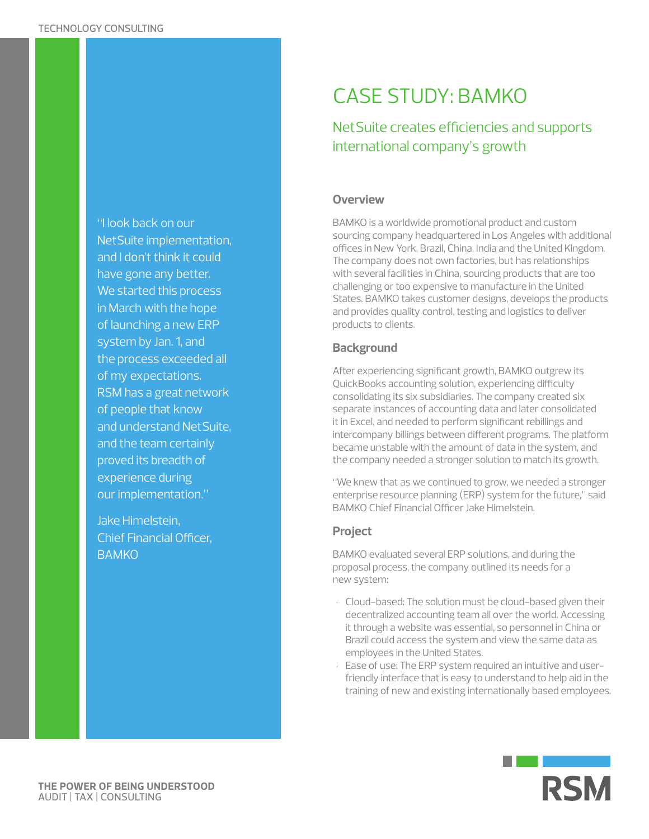"I look back on our NetSuite implementation, and I don't think it could have gone any better. We started this process in March with the hope of launching a new ERP system by Jan. 1, and the process exceeded all of my expectations. RSM has a great network of people that know and understand NetSuite, and the team certainly proved its breadth of experience during our implementation."

Jake Himelstein, Chief Financial Officer, **BAMKO** 

# CASE STUDY: BAMKO

## NetSuite creates efficiencies and supports international company's growth

#### **Overview**

BAMKO is a worldwide promotional product and custom sourcing company headquartered in Los Angeles with additional offices in New York, Brazil, China, India and the United Kingdom. The company does not own factories, but has relationships with several facilities in China, sourcing products that are too challenging or too expensive to manufacture in the United States. BAMKO takes customer designs, develops the products and provides quality control, testing and logistics to deliver products to clients.

### **Background**

After experiencing significant growth, BAMKO outgrew its QuickBooks accounting solution, experiencing difficulty consolidating its six subsidiaries. The company created six separate instances of accounting data and later consolidated it in Excel, and needed to perform significant rebillings and intercompany billings between different programs. The platform became unstable with the amount of data in the system, and the company needed a stronger solution to match its growth.

"We knew that as we continued to grow, we needed a stronger enterprise resource planning (ERP) system for the future," said BAMKO Chief Financial Officer Jake Himelstein.

## **Project**

BAMKO evaluated several ERP solutions, and during the proposal process, the company outlined its needs for a new system:

- Cloud-based: The solution must be cloud-based given their decentralized accounting team all over the world. Accessing it through a website was essential, so personnel in China or Brazil could access the system and view the same data as employees in the United States.
- Ease of use: The ERP system required an intuitive and userfriendly interface that is easy to understand to help aid in the training of new and existing internationally based employees.

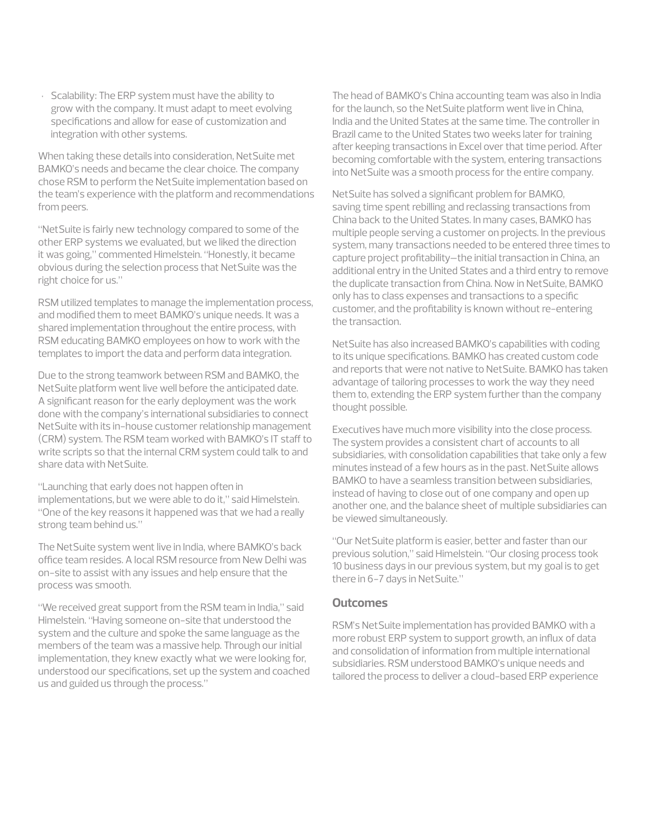• Scalability: The ERP system must have the ability to grow with the company. It must adapt to meet evolving specifications and allow for ease of customization and integration with other systems.

When taking these details into consideration, NetSuite met BAMKO's needs and became the clear choice. The company chose RSM to perform the NetSuite implementation based on the team's experience with the platform and recommendations from peers.

"NetSuite is fairly new technology compared to some of the other ERP systems we evaluated, but we liked the direction it was going," commented Himelstein. "Honestly, it became obvious during the selection process that NetSuite was the right choice for us."

RSM utilized templates to manage the implementation process, and modified them to meet BAMKO's unique needs. It was a shared implementation throughout the entire process, with RSM educating BAMKO employees on how to work with the templates to import the data and perform data integration.

Due to the strong teamwork between RSM and BAMKO, the NetSuite platform went live well before the anticipated date. A significant reason for the early deployment was the work done with the company's international subsidiaries to connect NetSuite with its in-house customer relationship management (CRM) system. The RSM team worked with BAMKO's IT staff to write scripts so that the internal CRM system could talk to and share data with NetSuite.

"Launching that early does not happen often in implementations, but we were able to do it," said Himelstein. "One of the key reasons it happened was that we had a really strong team behind us."

The NetSuite system went live in India, where BAMKO's back office team resides. A local RSM resource from New Delhi was on-site to assist with any issues and help ensure that the process was smooth.

"We received great support from the RSM team in India," said Himelstein. "Having someone on-site that understood the system and the culture and spoke the same language as the members of the team was a massive help. Through our initial implementation, they knew exactly what we were looking for, understood our specifications, set up the system and coached us and guided us through the process."

The head of BAMKO's China accounting team was also in India for the launch, so the NetSuite platform went live in China, India and the United States at the same time. The controller in Brazil came to the United States two weeks later for training after keeping transactions in Excel over that time period. After becoming comfortable with the system, entering transactions into NetSuite was a smooth process for the entire company.

NetSuite has solved a significant problem for BAMKO, saving time spent rebilling and reclassing transactions from China back to the United States. In many cases, BAMKO has multiple people serving a customer on projects. In the previous system, many transactions needed to be entered three times to capture project profitability–the initial transaction in China, an additional entry in the United States and a third entry to remove the duplicate transaction from China. Now in NetSuite, BAMKO only has to class expenses and transactions to a specific customer, and the profitability is known without re-entering the transaction.

NetSuite has also increased BAMKO's capabilities with coding to its unique specifications. BAMKO has created custom code and reports that were not native to NetSuite. BAMKO has taken advantage of tailoring processes to work the way they need them to, extending the ERP system further than the company thought possible.

Executives have much more visibility into the close process. The system provides a consistent chart of accounts to all subsidiaries, with consolidation capabilities that take only a few minutes instead of a few hours as in the past. NetSuite allows BAMKO to have a seamless transition between subsidiaries, instead of having to close out of one company and open up another one, and the balance sheet of multiple subsidiaries can be viewed simultaneously.

"Our NetSuite platform is easier, better and faster than our previous solution," said Himelstein. "Our closing process took 10 business days in our previous system, but my goal is to get there in 6-7 days in NetSuite."

#### **Outcomes**

RSM's NetSuite implementation has provided BAMKO with a more robust ERP system to support growth, an influx of data and consolidation of information from multiple international subsidiaries. RSM understood BAMKO's unique needs and tailored the process to deliver a cloud-based ERP experience